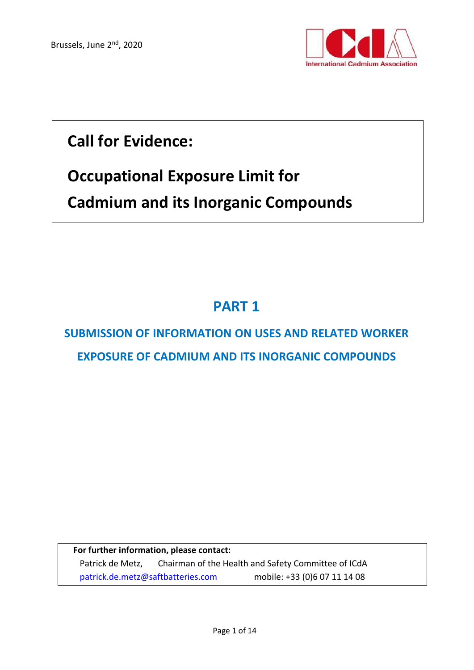

# **Call for Evidence:**

# **Occupational Exposure Limit for**

**Cadmium and its Inorganic Compounds**

# **PART 1**

# **SUBMISSION OF INFORMATION ON USES AND RELATED WORKER EXPOSURE OF CADMIUM AND ITS INORGANIC COMPOUNDS**

**For further information, please contact:** Patrick de Metz, Chairman of the Health and Safety Committee of ICdA [patrick.de.metz@saftbatteries.com](mailto:patrick.de.metz@saftbatteries.com) mobile: +33 (0)6 07 11 14 08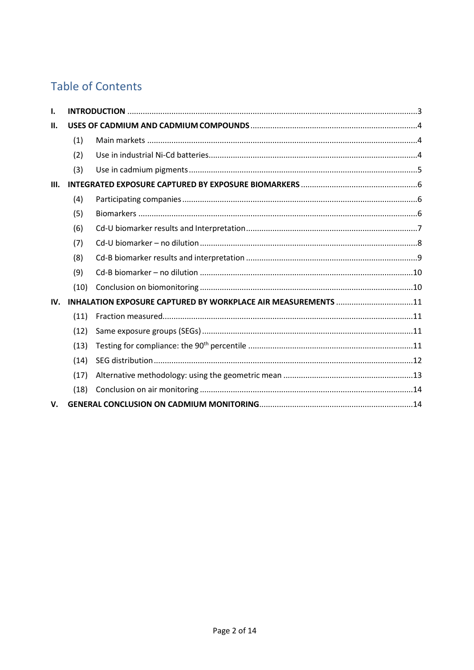## **Table of Contents**

| Ι.   |      |                                                               |  |
|------|------|---------------------------------------------------------------|--|
| II.  |      |                                                               |  |
|      | (1)  |                                                               |  |
|      | (2)  |                                                               |  |
|      | (3)  |                                                               |  |
| III. |      |                                                               |  |
|      | (4)  |                                                               |  |
|      | (5)  |                                                               |  |
|      | (6)  |                                                               |  |
|      | (7)  |                                                               |  |
|      | (8)  |                                                               |  |
|      | (9)  |                                                               |  |
|      | (10) |                                                               |  |
| IV.  |      | INHALATION EXPOSURE CAPTURED BY WORKPLACE AIR MEASUREMENTS 11 |  |
|      | (11) |                                                               |  |
|      | (12) |                                                               |  |
|      | (13) |                                                               |  |
|      | (14) |                                                               |  |
|      | (17) |                                                               |  |
|      | (18) |                                                               |  |
| V.   |      |                                                               |  |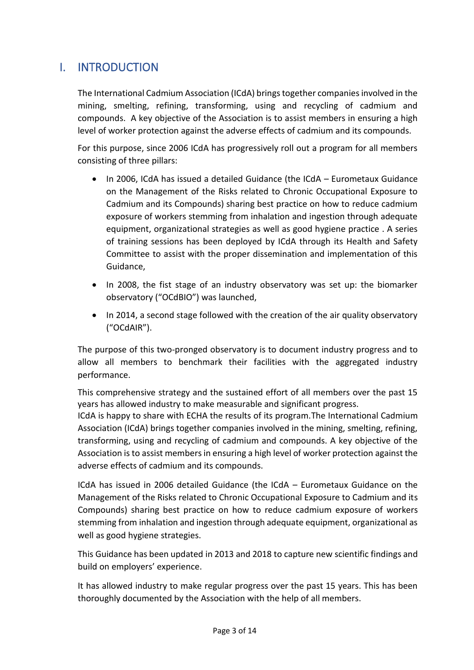### <span id="page-2-0"></span>I. INTRODUCTION

The International Cadmium Association (ICdA) brings together companies involved in the mining, smelting, refining, transforming, using and recycling of cadmium and compounds. A key objective of the Association is to assist members in ensuring a high level of worker protection against the adverse effects of cadmium and its compounds.

For this purpose, since 2006 ICdA has progressively roll out a program for all members consisting of three pillars:

- In 2006, ICdA has issued a detailed Guidance (the ICdA Eurometaux Guidance on the Management of the Risks related to Chronic Occupational Exposure to Cadmium and its Compounds) sharing best practice on how to reduce cadmium exposure of workers stemming from inhalation and ingestion through adequate equipment, organizational strategies as well as good hygiene practice . A series of training sessions has been deployed by ICdA through its Health and Safety Committee to assist with the proper dissemination and implementation of this Guidance,
- In 2008, the fist stage of an industry observatory was set up: the biomarker observatory ("OCdBIO") was launched,
- In 2014, a second stage followed with the creation of the air quality observatory ("OCdAIR").

The purpose of this two-pronged observatory is to document industry progress and to allow all members to benchmark their facilities with the aggregated industry performance.

This comprehensive strategy and the sustained effort of all members over the past 15 years has allowed industry to make measurable and significant progress.

ICdA is happy to share with ECHA the results of its program.The International Cadmium Association (ICdA) brings together companies involved in the mining, smelting, refining, transforming, using and recycling of cadmium and compounds. A key objective of the Association is to assist members in ensuring a high level of worker protection against the adverse effects of cadmium and its compounds.

ICdA has issued in 2006 detailed Guidance (the ICdA – Eurometaux Guidance on the Management of the Risks related to Chronic Occupational Exposure to Cadmium and its Compounds) sharing best practice on how to reduce cadmium exposure of workers stemming from inhalation and ingestion through adequate equipment, organizational as well as good hygiene strategies.

This Guidance has been updated in 2013 and 2018 to capture new scientific findings and build on employers' experience.

It has allowed industry to make regular progress over the past 15 years. This has been thoroughly documented by the Association with the help of all members.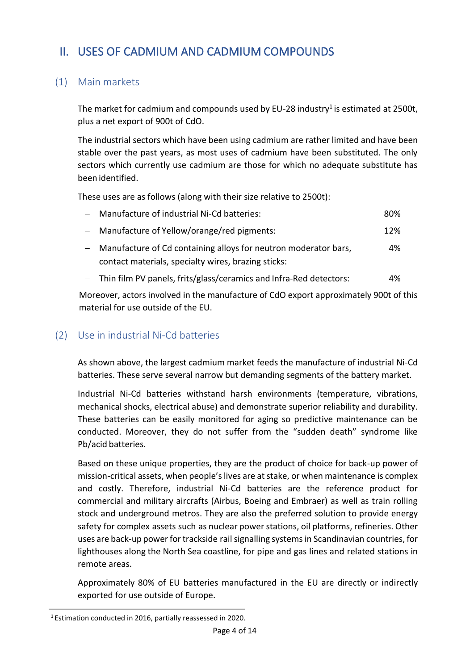## <span id="page-3-0"></span>II. USES OF CADMIUM AND CADMIUM COMPOUNDS

#### <span id="page-3-1"></span>(1) Main markets

The market for cadmium and compounds used by EU-28 industry<sup>1</sup> is estimated at 2500t, plus a net export of 900t of CdO.

The industrial sectors which have been using cadmium are rather limited and have been stable over the past years, as most uses of cadmium have been substituted. The only sectors which currently use cadmium are those for which no adequate substitute has been identified.

These uses are as follows (along with their size relative to 2500t):

| - Manufacture of industrial Ni-Cd batteries:                      | 80% |
|-------------------------------------------------------------------|-----|
| - Manufacture of Yellow/orange/red pigments:                      | 12% |
| - Manufacture of Cd containing alloys for neutron moderator bars, | 4%  |
| contact materials, specialty wires, brazing sticks:               |     |

− Thin film PV panels, frits/glass/ceramics and Infra-Red detectors: 4%

Moreover, actors involved in the manufacture of CdO export approximately 900t of this material for use outside of the EU.

#### <span id="page-3-2"></span>(2) Use in industrial Ni-Cd batteries

As shown above, the largest cadmium market feeds the manufacture of industrial Ni-Cd batteries. These serve several narrow but demanding segments of the battery market.

Industrial Ni-Cd batteries withstand harsh environments (temperature, vibrations, mechanical shocks, electrical abuse) and demonstrate superior reliability and durability. These batteries can be easily monitored for aging so predictive maintenance can be conducted. Moreover, they do not suffer from the "sudden death" syndrome like Pb/acid batteries.

Based on these unique properties, they are the product of choice for back-up power of mission-critical assets, when people's lives are at stake, or when maintenance is complex and costly. Therefore, industrial Ni-Cd batteries are the reference product for commercial and military aircrafts (Airbus, Boeing and Embraer) as well as train rolling stock and underground metros. They are also the preferred solution to provide energy safety for complex assets such as nuclear power stations, oil platforms, refineries. Other uses are back-up power for trackside rail signalling systems in Scandinavian countries, for lighthouses along the North Sea coastline, for pipe and gas lines and related stations in remote areas.

Approximately 80% of EU batteries manufactured in the EU are directly or indirectly exported for use outside of Europe.

<sup>1</sup> Estimation conducted in 2016, partially reassessed in 2020.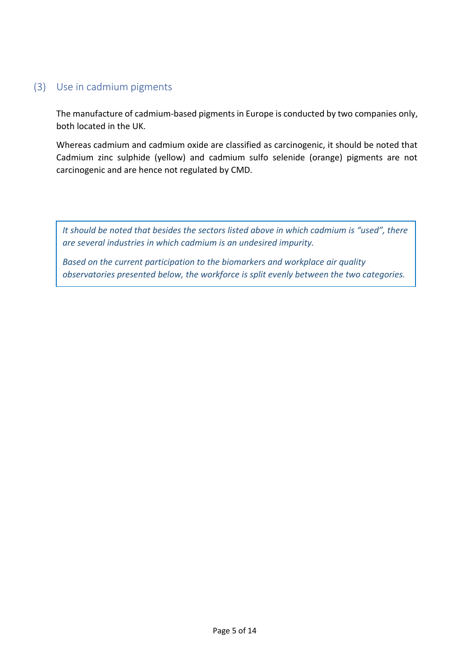#### <span id="page-4-0"></span>(3) Use in cadmium pigments

The manufacture of cadmium-based pigments in Europe is conducted by two companies only, both located in the UK.

Whereas cadmium and cadmium oxide are classified as carcinogenic, it should be noted that Cadmium zinc sulphide (yellow) and cadmium sulfo selenide (orange) pigments are not carcinogenic and are hence not regulated by CMD.

*It should be noted that besides the sectors listed above in which cadmium is "used", there are several industries in which cadmium is an undesired impurity.*

*Based on the current participation to the biomarkers and workplace air quality observatories presented below, the workforce is split evenly between the two categories.*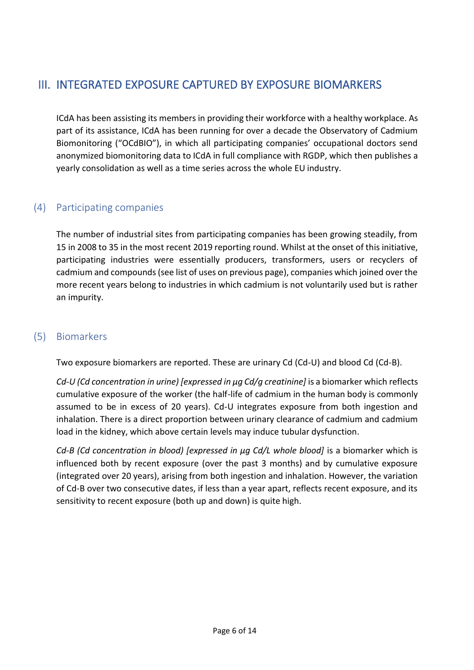## <span id="page-5-0"></span>III. INTEGRATED EXPOSURE CAPTURED BY EXPOSURE BIOMARKERS

ICdA has been assisting its members in providing their workforce with a healthy workplace. As part of its assistance, ICdA has been running for over a decade the Observatory of Cadmium Biomonitoring ("OCdBIO"), in which all participating companies' occupational doctors send anonymized biomonitoring data to ICdA in full compliance with RGDP, which then publishes a yearly consolidation as well as a time series across the whole EU industry.

#### <span id="page-5-1"></span>(4) Participating companies

The number of industrial sites from participating companies has been growing steadily, from 15 in 2008 to 35 in the most recent 2019 reporting round. Whilst at the onset of this initiative, participating industries were essentially producers, transformers, users or recyclers of cadmium and compounds (see list of uses on previous page), companies which joined over the more recent years belong to industries in which cadmium is not voluntarily used but is rather an impurity.

#### <span id="page-5-2"></span>(5) Biomarkers

Two exposure biomarkers are reported. These are urinary Cd (Cd-U) and blood Cd (Cd-B).

*Cd-U (Cd concentration in urine) [expressed in µg Cd/g creatinine]* is a biomarker which reflects cumulative exposure of the worker (the half-life of cadmium in the human body is commonly assumed to be in excess of 20 years). Cd-U integrates exposure from both ingestion and inhalation. There is a direct proportion between urinary clearance of cadmium and cadmium load in the kidney, which above certain levels may induce tubular dysfunction.

*Cd-B (Cd concentration in blood) [expressed in µg Cd/L whole blood]* is a biomarker which is influenced both by recent exposure (over the past 3 months) and by cumulative exposure (integrated over 20 years), arising from both ingestion and inhalation. However, the variation of Cd-B over two consecutive dates, if less than a year apart, reflects recent exposure, and its sensitivity to recent exposure (both up and down) is quite high.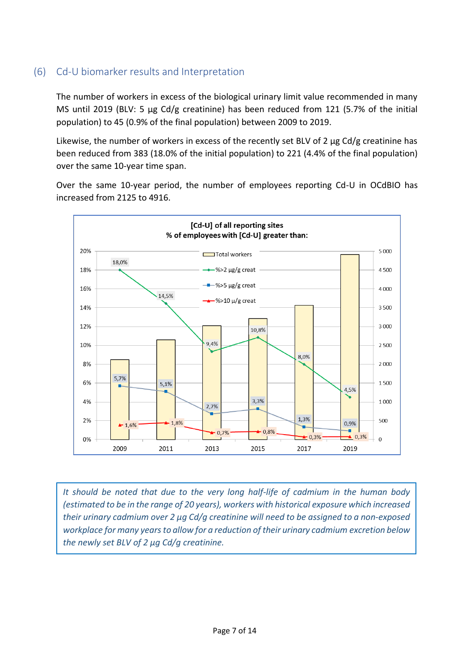#### <span id="page-6-0"></span>(6) Cd-U biomarker results and Interpretation

The number of workers in excess of the biological urinary limit value recommended in many MS until 2019 (BLV: 5 µg Cd/g creatinine) has been reduced from 121 (5.7% of the initial population) to 45 (0.9% of the final population) between 2009 to 2019.

Likewise, the number of workers in excess of the recently set BLV of 2 µg Cd/g creatinine has been reduced from 383 (18.0% of the initial population) to 221 (4.4% of the final population) over the same 10-year time span.

Over the same 10-year period, the number of employees reporting Cd-U in OCdBIO has increased from 2125 to 4916.



*It should be noted that due to the very long half-life of cadmium in the human body (estimated to be in the range of 20 years), workers with historical exposure which increased their urinary cadmium over 2 µg Cd/g creatinine will need to be assigned to a non-exposed workplace* for *many* years to allow for a reduction of their *urinary* cadmium excretion below *the newly set BLV of 2 µg Cd/g creatinine.*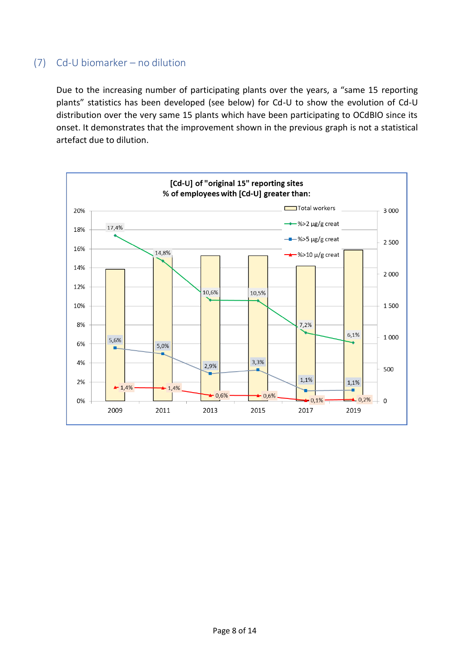#### <span id="page-7-0"></span>(7) Cd-U biomarker – no dilution

Due to the increasing number of participating plants over the years, a "same 15 reporting plants" statistics has been developed (see below) for Cd-U to show the evolution of Cd-U distribution over the very same 15 plants which have been participating to OCdBIO since its onset. It demonstrates that the improvement shown in the previous graph is not a statistical artefact due to dilution.

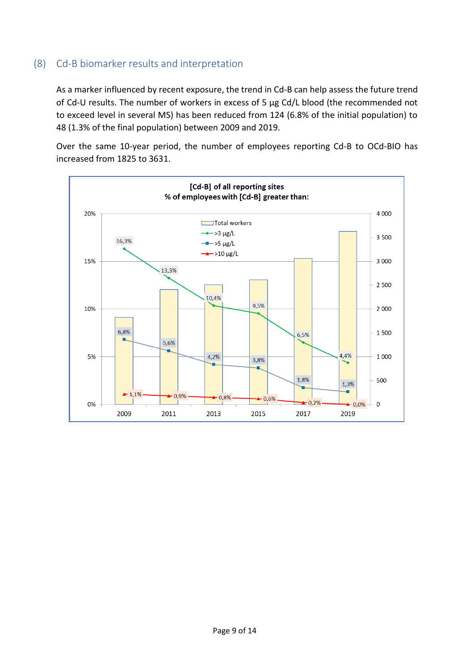#### <span id="page-8-0"></span>(8) Cd-B biomarker results and interpretation

As a marker influenced by recent exposure, the trend in Cd-B can help assess the future trend of Cd-U results. The number of workers in excess of 5 µg Cd/L blood (the recommended not to exceed level in several MS) has been reduced from 124 (6.8% of the initial population) to 48 (1.3% of the final population) between 2009 and 2019.

Over the same 10-year period, the number of employees reporting Cd-B to OCd-BIO has increased from 1825 to 3631.

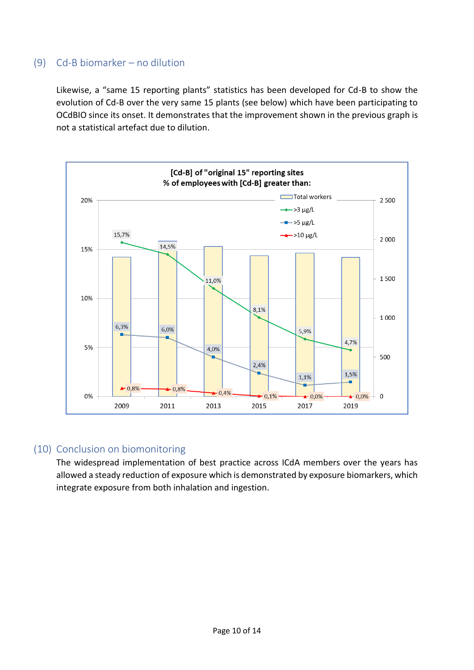#### <span id="page-9-0"></span>(9) Cd-B biomarker – no dilution

Likewise, a "same 15 reporting plants" statistics has been developed for Cd-B to show the evolution of Cd-B over the very same 15 plants (see below) which have been participating to OCdBIO since its onset. It demonstrates that the improvement shown in the previous graph is not a statistical artefact due to dilution.



#### <span id="page-9-1"></span>(10) Conclusion on biomonitoring

The widespread implementation of best practice across ICdA members over the years has allowed a steady reduction of exposure which is demonstrated by exposure biomarkers, which integrate exposure from both inhalation and ingestion.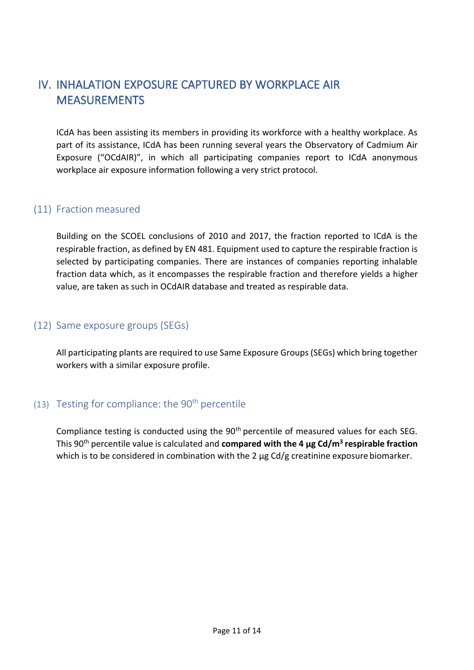## <span id="page-10-0"></span>IV. INHALATION EXPOSURE CAPTURED BY WORKPLACE AIR MEASUREMENTS

ICdA has been assisting its members in providing its workforce with a healthy workplace. As part of its assistance, ICdA has been running several years the Observatory of Cadmium Air Exposure ("OCdAIR)", in which all participating companies report to ICdA anonymous workplace air exposure information following a very strict protocol.

#### <span id="page-10-1"></span>(11) Fraction measured

Building on the SCOEL conclusions of 2010 and 2017, the fraction reported to ICdA is the respirable fraction, as defined by EN 481. Equipment used to capture the respirable fraction is selected by participating companies. There are instances of companies reporting inhalable fraction data which, as it encompasses the respirable fraction and therefore yields a higher value, are taken as such in OCdAIR database and treated as respirable data.

#### <span id="page-10-2"></span>(12) Same exposure groups (SEGs)

All participating plants are required to use Same Exposure Groups(SEGs) which bring together workers with a similar exposure profile.

#### <span id="page-10-3"></span>(13) Testing for compliance: the  $90<sup>th</sup>$  percentile

Compliance testing is conducted using the 90<sup>th</sup> percentile of measured values for each SEG. This 90th percentile value is calculated and **compared with the 4 µg Cd/m<sup>3</sup> respirable fraction**  which is to be considered in combination with the 2  $\mu$ g Cd/g creatinine exposure biomarker.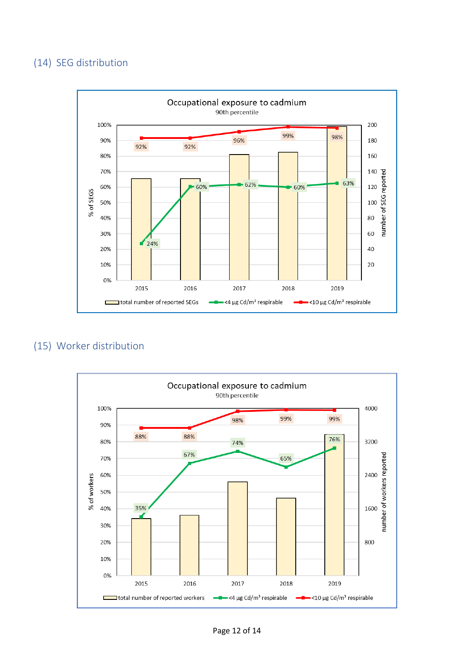#### <span id="page-11-0"></span>(14) SEG distribution



#### (15) Worker distribution

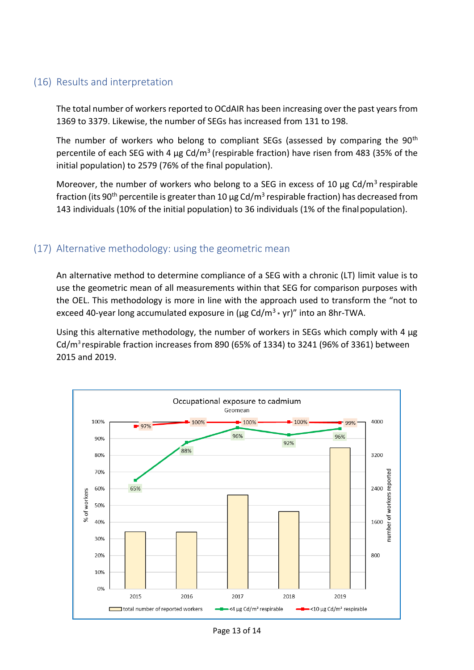#### (16) Results and interpretation

The total number of workers reported to OCdAIR has been increasing overthe past yearsfrom 1369 to 3379. Likewise, the number of SEGs has increased from 131 to 198.

The number of workers who belong to compliant SEGs (assessed by comparing the 90<sup>th</sup> percentile of each SEG with 4  $\mu$ g Cd/m<sup>3</sup> (respirable fraction) have risen from 483 (35% of the initial population) to 2579 (76% of the final population).

Moreover, the number of workers who belong to a SEG in excess of 10  $\mu$ g Cd/m<sup>3</sup> respirable fraction (its 90<sup>th</sup> percentile is greater than 10  $\mu$ g Cd/m $^3$  respirable fraction) has decreased from 143 individuals (10% of the initial population) to 36 individuals (1% of the finalpopulation).

#### <span id="page-12-0"></span>(17) Alternative methodology: using the geometric mean

An alternative method to determine compliance of a SEG with a chronic (LT) limit value is to use the geometric mean of all measurements within that SEG for comparison purposes with the OEL. This methodology is more in line with the approach used to transform the "not to exceed 40-year long accumulated exposure in ( $\mu$ g Cd/m<sup>3</sup> \* yr)" into an 8hr-TWA.

Using this alternative methodology, the number of workers in SEGs which comply with 4 µg Cd/ $m^3$  respirable fraction increases from 890 (65% of 1334) to 3241 (96% of 3361) between 2015 and 2019.



Page 13 of 14